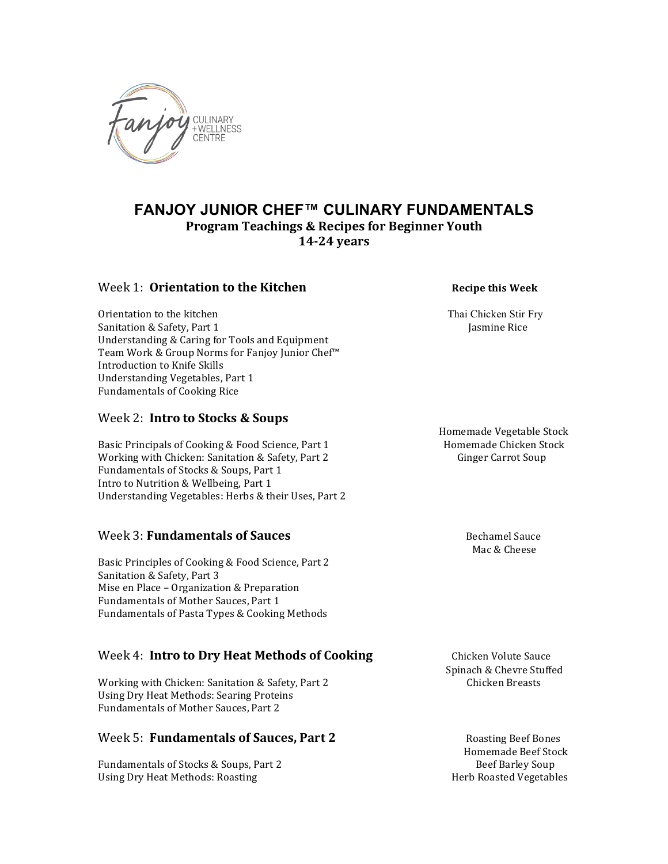

# **FANJOY JUNIOR CHEF™ CULINARY FUNDAMENTALS Program Teachings & Recipes for Beginner Youth 14-24 years**

#### Week 1: **Orientation to the Kitchen Recipe this Week**

Orientation to the kitchen Thai Chicken Stir Fry Sanitation & Safety, Part 1 Jasmine Rice Understanding & Caring for Tools and Equipment Team Work & Group Norms for Fanjoy Junior Chef™ Introduction to Knife Skills Understanding Vegetables, Part 1 Fundamentals of Cooking Rice

# Week 2: **Intro to Stocks & Soups**

Basic Principals of Cooking & Food Science, Part 1 Homemade Chicken Stock Working with Chicken: Sanitation & Safety, Part 2 Ginger Carrot Soup Fundamentals of Stocks & Soups, Part 1 Intro to Nutrition & Wellbeing, Part 1 Understanding Vegetables: Herbs & their Uses, Part 2

# Week 3: **Fundamentals of Sauces** Bechamel Sauce

Basic Principles of Cooking & Food Science, Part 2 Sanitation & Safety, Part 3 Mise en Place – Organization & Preparation Fundamentals of Mother Sauces, Part 1 Fundamentals of Pasta Types & Cooking Methods

# **Week 4: Intro to Dry Heat Methods of Cooking Chicken Volute Sauce**

Working with Chicken: Sanitation & Safety, Part 2 Chicken Breasts Using Dry Heat Methods: Searing Proteins Fundamentals of Mother Sauces, Part 2

# Week 5: **Fundamentals of Sauces, Part 2** Roasting Beef Bones

Fundamentals of Stocks & Soups, Part 2 Beef Barley Soup Using Dry Heat Methods: Roasting Herb Roasted Vegetables

 Homemade Vegetable Stock

 Mac & Cheese

 Spinach & Chevre Stuffed

 Homemade Beef Stock